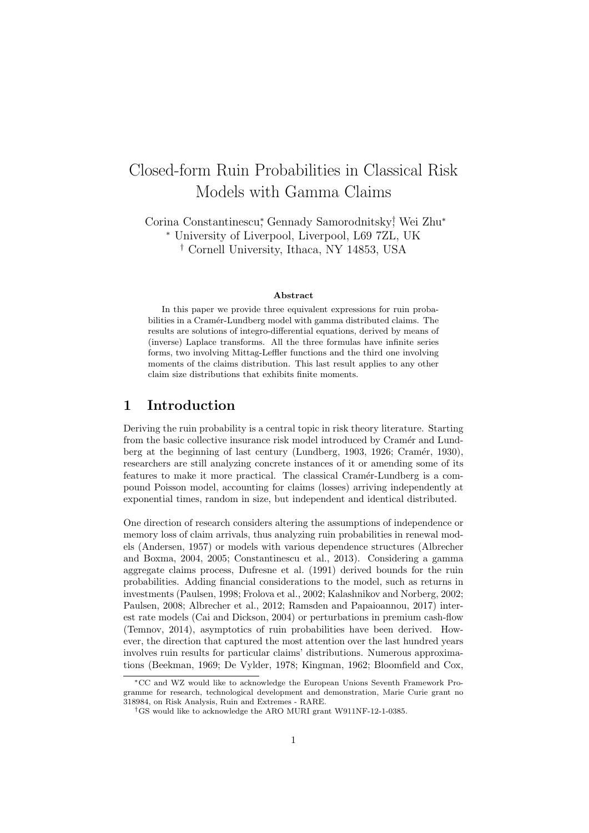# Closed-form Ruin Probabilities in Classical Risk Models with Gamma Claims

Corina Constantinescu<sup>∗</sup> , Gennady Samorodnitsky† , Wei Zhu<sup>∗</sup> <sup>∗</sup> University of Liverpool, Liverpool, L69 7ZL, UK † Cornell University, Ithaca, NY 14853, USA

#### Abstract

In this paper we provide three equivalent expressions for ruin probabilities in a Cramér-Lundberg model with gamma distributed claims. The results are solutions of integro-differential equations, derived by means of (inverse) Laplace transforms. All the three formulas have infinite series forms, two involving Mittag-Leffler functions and the third one involving moments of the claims distribution. This last result applies to any other claim size distributions that exhibits finite moments.

#### 1 Introduction

Deriving the ruin probability is a central topic in risk theory literature. Starting from the basic collective insurance risk model introduced by Cramér and Lundberg at the beginning of last century (Lundberg, 1903, 1926; Cramér, 1930), researchers are still analyzing concrete instances of it or amending some of its features to make it more practical. The classical Cramér-Lundberg is a compound Poisson model, accounting for claims (losses) arriving independently at exponential times, random in size, but independent and identical distributed.

One direction of research considers altering the assumptions of independence or memory loss of claim arrivals, thus analyzing ruin probabilities in renewal models (Andersen, 1957) or models with various dependence structures (Albrecher and Boxma, 2004, 2005; Constantinescu et al., 2013). Considering a gamma aggregate claims process, Dufresne et al. (1991) derived bounds for the ruin probabilities. Adding financial considerations to the model, such as returns in investments (Paulsen, 1998; Frolova et al., 2002; Kalashnikov and Norberg, 2002; Paulsen, 2008; Albrecher et al., 2012; Ramsden and Papaioannou, 2017) interest rate models (Cai and Dickson, 2004) or perturbations in premium cash-flow (Temnov, 2014), asymptotics of ruin probabilities have been derived. However, the direction that captured the most attention over the last hundred years involves ruin results for particular claims' distributions. Numerous approximations (Beekman, 1969; De Vylder, 1978; Kingman, 1962; Bloomfield and Cox,

<sup>∗</sup>CC and WZ would like to acknowledge the European Unions Seventh Framework Programme for research, technological development and demonstration, Marie Curie grant no 318984, on Risk Analysis, Ruin and Extremes - RARE.

<sup>†</sup>GS would like to acknowledge the ARO MURI grant W911NF-12-1-0385.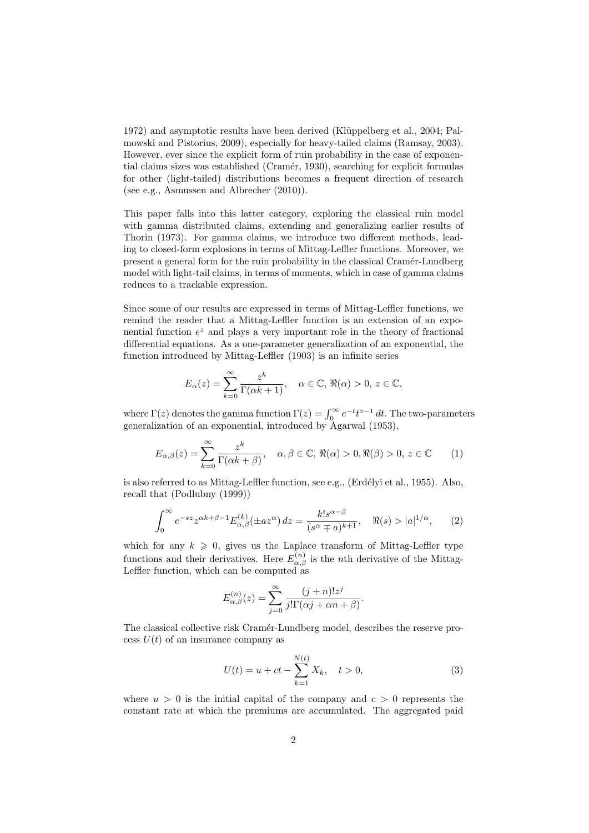1972) and asymptotic results have been derived (Klüppelberg et al., 2004; Palmowski and Pistorius, 2009), especially for heavy-tailed claims (Ramsay, 2003). However, ever since the explicit form of ruin probability in the case of exponential claims sizes was established (Cramér, 1930), searching for explicit formulas for other (light-tailed) distributions becomes a frequent direction of research (see e.g., Asmussen and Albrecher (2010)).

This paper falls into this latter category, exploring the classical ruin model with gamma distributed claims, extending and generalizing earlier results of Thorin (1973). For gamma claims, we introduce two different methods, leading to closed-form explosions in terms of Mittag-Leffler functions. Moreover, we present a general form for the ruin probability in the classical Cramér-Lundberg model with light-tail claims, in terms of moments, which in case of gamma claims reduces to a trackable expression.

Since some of our results are expressed in terms of Mittag-Leffler functions, we remind the reader that a Mittag-Leffler function is an extension of an exponential function  $e^z$  and plays a very important role in the theory of fractional differential equations. As a one-parameter generalization of an exponential, the function introduced by Mittag-Leffler (1903) is an infinite series

$$
E_{\alpha}(z) = \sum_{k=0}^{\infty} \frac{z^k}{\Gamma(\alpha k + 1)}, \quad \alpha \in \mathbb{C}, \, \Re(\alpha) > 0, \, z \in \mathbb{C},
$$

where  $\Gamma(z)$  denotes the gamma function  $\Gamma(z) = \int_0^\infty e^{-t} t^{z-1} dt$ . The two-parameters generalization of an exponential, introduced by Agarwal (1953),

$$
E_{\alpha,\beta}(z) = \sum_{k=0}^{\infty} \frac{z^k}{\Gamma(\alpha k + \beta)}, \quad \alpha, \beta \in \mathbb{C}, \, \Re(\alpha) > 0, \Re(\beta) > 0, \, z \in \mathbb{C} \tag{1}
$$

is also referred to as Mittag-Leffler function, see e.g.,  $(Erdélvi et al., 1955)$ . Also, recall that (Podlubny (1999))

$$
\int_0^\infty e^{-sz} z^{\alpha k + \beta - 1} E_{\alpha, \beta}^{(k)}(\pm az^\alpha) dz = \frac{k! s^{\alpha - \beta}}{(s^\alpha \mp a)^{k+1}}, \quad \Re(s) > |a|^{1/\alpha}, \qquad (2)
$$

which for any  $k \geq 0$ , gives us the Laplace transform of Mittag-Leffler type functions and their derivatives. Here  $E_{\alpha,\beta}^{(n)}$  is the *n*th derivative of the Mittag-Leffler function, which can be computed as

$$
E_{\alpha,\beta}^{(n)}(z) = \sum_{j=0}^{\infty} \frac{(j+n)!z^j}{j!\Gamma(\alpha j + \alpha n + \beta)}.
$$

The classical collective risk Cramér-Lundberg model, describes the reserve process  $U(t)$  of an insurance company as

$$
U(t) = u + ct - \sum_{k=1}^{N(t)} X_k, \quad t > 0,
$$
\n(3)

where  $u > 0$  is the initial capital of the company and  $c > 0$  represents the constant rate at which the premiums are accumulated. The aggregated paid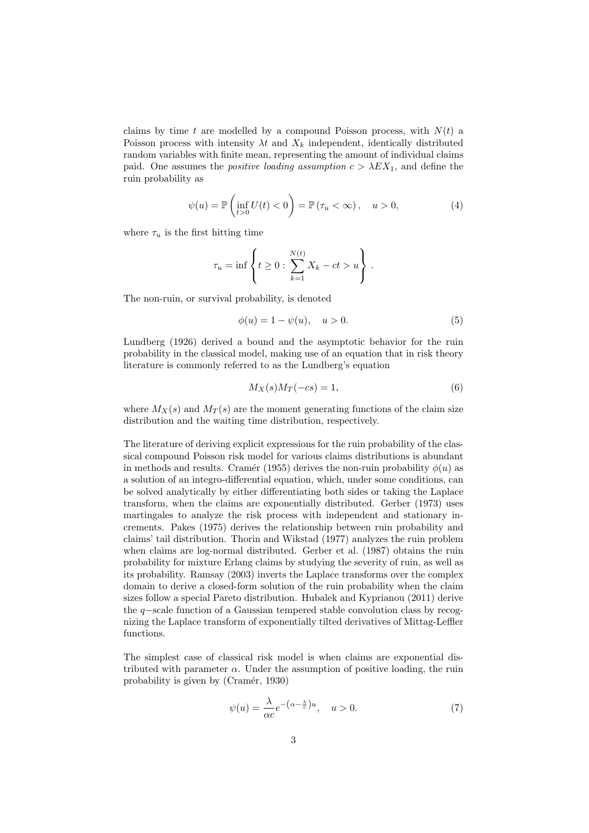claims by time t are modelled by a compound Poisson process, with  $N(t)$  a Poisson process with intensity  $\lambda t$  and  $X_k$  independent, identically distributed random variables with finite mean, representing the amount of individual claims paid. One assumes the *positive loading assumption*  $c > \lambda E X_1$ , and define the ruin probability as

$$
\psi(u) = \mathbb{P}\left(\inf_{t>0} U(t) < 0\right) = \mathbb{P}\left(\tau_u < \infty\right), \quad u > 0,\tag{4}
$$

where  $\tau_u$  is the first hitting time

$$
\tau_u = \inf \left\{ t \ge 0 : \sum_{k=1}^{N(t)} X_k - ct > u \right\}.
$$

The non-ruin, or survival probability, is denoted

$$
\phi(u) = 1 - \psi(u), \quad u > 0.
$$
 (5)

Lundberg (1926) derived a bound and the asymptotic behavior for the ruin probability in the classical model, making use of an equation that in risk theory literature is commonly referred to as the Lundberg's equation

$$
M_X(s)M_T(-cs) = 1,\t\t(6)
$$

where  $M_X(s)$  and  $M_T(s)$  are the moment generating functions of the claim size distribution and the waiting time distribution, respectively.

The literature of deriving explicit expressions for the ruin probability of the classical compound Poisson risk model for various claims distributions is abundant in methods and results. Cramér (1955) derives the non-ruin probability  $\phi(u)$  as a solution of an integro-differential equation, which, under some conditions, can be solved analytically by either differentiating both sides or taking the Laplace transform, when the claims are exponentially distributed. Gerber (1973) uses martingales to analyze the risk process with independent and stationary increments. Pakes (1975) derives the relationship between ruin probability and claims' tail distribution. Thorin and Wikstad (1977) analyzes the ruin problem when claims are log-normal distributed. Gerber et al. (1987) obtains the ruin probability for mixture Erlang claims by studying the severity of ruin, as well as its probability. Ramsay (2003) inverts the Laplace transforms over the complex domain to derive a closed-form solution of the ruin probability when the claim sizes follow a special Pareto distribution. Hubalek and Kyprianou (2011) derive the q−scale function of a Gaussian tempered stable convolution class by recognizing the Laplace transform of exponentially tilted derivatives of Mittag-Leffler functions.

The simplest case of classical risk model is when claims are exponential distributed with parameter  $\alpha$ . Under the assumption of positive loading, the ruin probability is given by  $(Cramér, 1930)$ 

$$
\psi(u) = \frac{\lambda}{\alpha c} e^{-\left(\alpha - \frac{\lambda}{c}\right)u}, \quad u > 0.
$$
\n(7)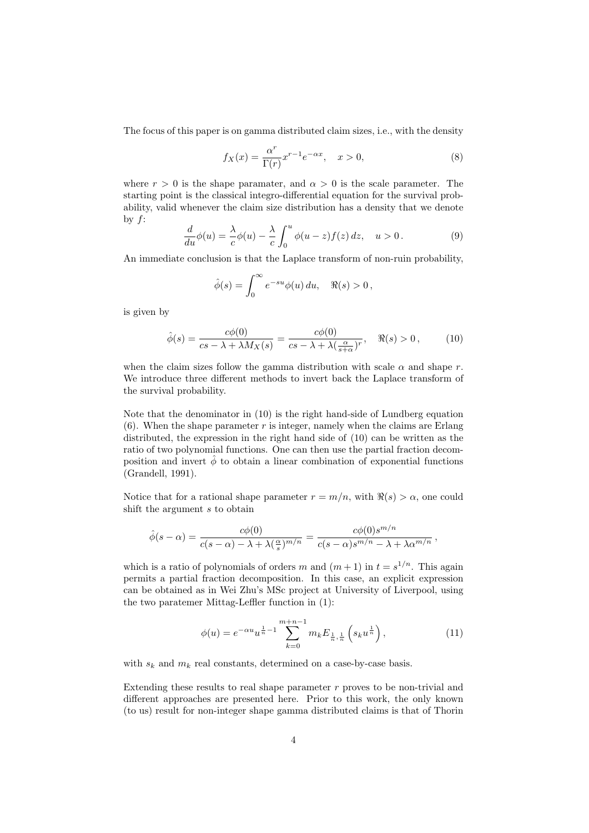The focus of this paper is on gamma distributed claim sizes, i.e., with the density

$$
f_X(x) = \frac{\alpha^r}{\Gamma(r)} x^{r-1} e^{-\alpha x}, \quad x > 0,
$$
\n(8)

where  $r > 0$  is the shape paramater, and  $\alpha > 0$  is the scale parameter. The starting point is the classical integro-differential equation for the survival probability, valid whenever the claim size distribution has a density that we denote by  $f$ :

$$
\frac{d}{du}\phi(u) = \frac{\lambda}{c}\phi(u) - \frac{\lambda}{c}\int_0^u \phi(u-z)f(z)\,dz, \quad u > 0.
$$
\n(9)

An immediate conclusion is that the Laplace transform of non-ruin probability,

$$
\hat{\phi}(s) = \int_0^\infty e^{-su} \phi(u) \, du, \quad \Re(s) > 0,
$$

is given by

$$
\hat{\phi}(s) = \frac{c\phi(0)}{cs - \lambda + \lambda M_X(s)} = \frac{c\phi(0)}{cs - \lambda + \lambda(\frac{\alpha}{s + \alpha})^r}, \quad \Re(s) > 0,
$$
\n(10)

when the claim sizes follow the gamma distribution with scale  $\alpha$  and shape r. We introduce three different methods to invert back the Laplace transform of the survival probability.

Note that the denominator in (10) is the right hand-side of Lundberg equation  $(6)$ . When the shape parameter r is integer, namely when the claims are Erlang distributed, the expression in the right hand side of (10) can be written as the ratio of two polynomial functions. One can then use the partial fraction decomposition and invert  $\hat{\phi}$  to obtain a linear combination of exponential functions (Grandell, 1991).

Notice that for a rational shape parameter  $r = m/n$ , with  $\Re(s) > \alpha$ , one could shift the argument  $s$  to obtain

$$
\hat{\phi}(s-\alpha) = \frac{c\phi(0)}{c(s-\alpha) - \lambda + \lambda(\frac{\alpha}{s})^{m/n}} = \frac{c\phi(0)s^{m/n}}{c(s-\alpha)s^{m/n} - \lambda + \lambda\alpha^{m/n}},
$$

which is a ratio of polynomials of orders m and  $(m+1)$  in  $t = s^{1/n}$ . This again permits a partial fraction decomposition. In this case, an explicit expression can be obtained as in Wei Zhu's MSc project at University of Liverpool, using the two paratemer Mittag-Leffler function in (1):

$$
\phi(u) = e^{-\alpha u} u^{\frac{1}{n}-1} \sum_{k=0}^{m+n-1} m_k E_{\frac{1}{n},\frac{1}{n}} \left( s_k u^{\frac{1}{n}} \right),\tag{11}
$$

with  $s_k$  and  $m_k$  real constants, determined on a case-by-case basis.

Extending these results to real shape parameter  $r$  proves to be non-trivial and different approaches are presented here. Prior to this work, the only known (to us) result for non-integer shape gamma distributed claims is that of Thorin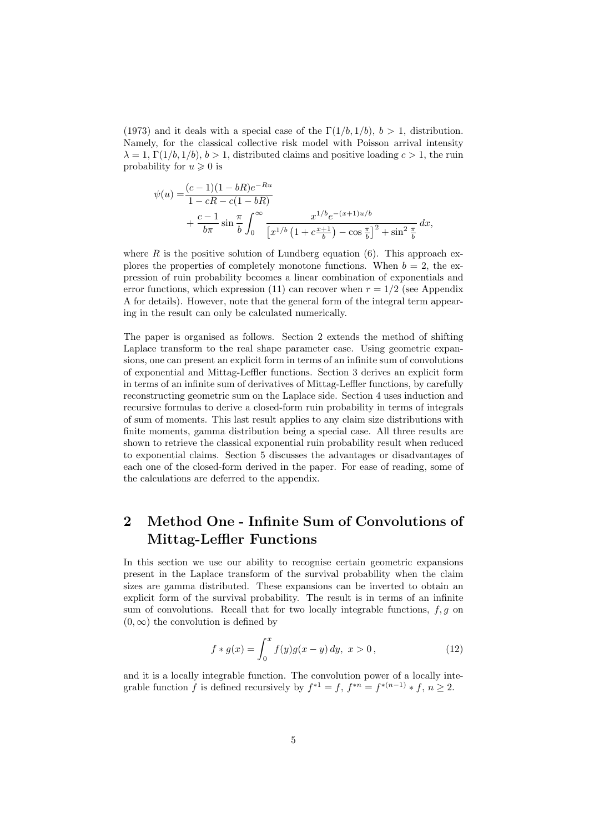(1973) and it deals with a special case of the  $\Gamma(1/b, 1/b)$ ,  $b > 1$ , distribution. Namely, for the classical collective risk model with Poisson arrival intensity  $\lambda = 1$ ,  $\Gamma(1/b, 1/b), b > 1$ , distributed claims and positive loading  $c > 1$ , the ruin probability for  $u \geq 0$  is

$$
\psi(u) = \frac{(c-1)(1-bR)e^{-Ru}}{1-cR - c(1-bR)} \n+ \frac{c-1}{b\pi} \sin\frac{\pi}{b} \int_0^\infty \frac{x^{1/b}e^{-(x+1)u/b}}{\left[x^{1/b}\left(1 + c\frac{x+1}{b}\right) - \cos\frac{\pi}{b}\right]^2 + \sin^2\frac{\pi}{b}} dx,
$$

where  $R$  is the positive solution of Lundberg equation (6). This approach explores the properties of completely monotone functions. When  $b = 2$ , the expression of ruin probability becomes a linear combination of exponentials and error functions, which expression (11) can recover when  $r = 1/2$  (see Appendix A for details). However, note that the general form of the integral term appearing in the result can only be calculated numerically.

The paper is organised as follows. Section 2 extends the method of shifting Laplace transform to the real shape parameter case. Using geometric expansions, one can present an explicit form in terms of an infinite sum of convolutions of exponential and Mittag-Leffler functions. Section 3 derives an explicit form in terms of an infinite sum of derivatives of Mittag-Leffler functions, by carefully reconstructing geometric sum on the Laplace side. Section 4 uses induction and recursive formulas to derive a closed-form ruin probability in terms of integrals of sum of moments. This last result applies to any claim size distributions with finite moments, gamma distribution being a special case. All three results are shown to retrieve the classical exponential ruin probability result when reduced to exponential claims. Section 5 discusses the advantages or disadvantages of each one of the closed-form derived in the paper. For ease of reading, some of the calculations are deferred to the appendix.

# 2 Method One - Infinite Sum of Convolutions of Mittag-Leffler Functions

In this section we use our ability to recognise certain geometric expansions present in the Laplace transform of the survival probability when the claim sizes are gamma distributed. These expansions can be inverted to obtain an explicit form of the survival probability. The result is in terms of an infinite sum of convolutions. Recall that for two locally integrable functions,  $f, g$  on  $(0, \infty)$  the convolution is defined by

$$
f * g(x) = \int_0^x f(y)g(x - y) dy, \ x > 0,
$$
\n(12)

and it is a locally integrable function. The convolution power of a locally integrable function f is defined recursively by  $f^{*1} = f$ ,  $f^{*n} = f^{*(n-1)} * f$ ,  $n \ge 2$ .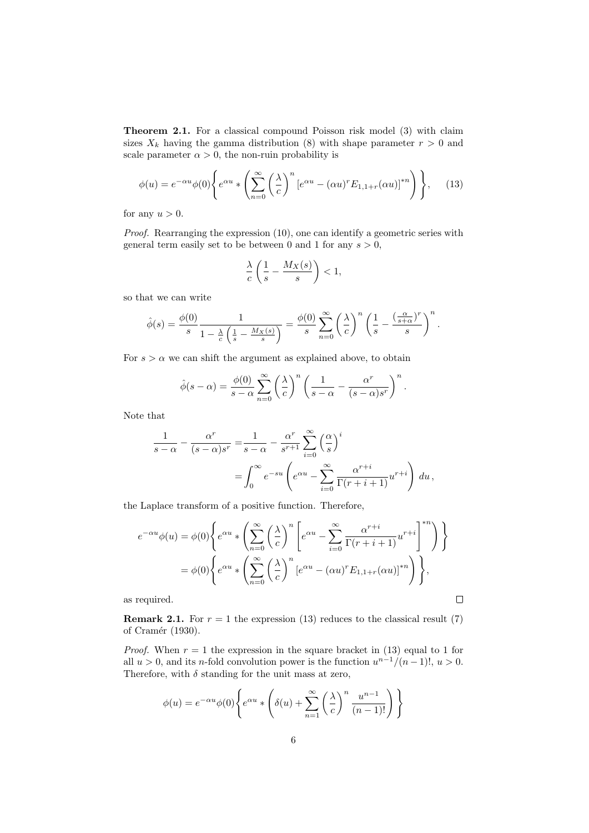Theorem 2.1. For a classical compound Poisson risk model (3) with claim sizes  $X_k$  having the gamma distribution (8) with shape parameter  $r > 0$  and scale parameter  $\alpha > 0$ , the non-ruin probability is

$$
\phi(u) = e^{-\alpha u} \phi(0) \left\{ e^{\alpha u} * \left( \sum_{n=0}^{\infty} \left( \frac{\lambda}{c} \right)^n \left[ e^{\alpha u} - (\alpha u)^r E_{1,1+r}(\alpha u) \right]^{*n} \right) \right\}, \quad (13)
$$

for any  $u > 0$ .

Proof. Rearranging the expression (10), one can identify a geometric series with general term easily set to be between 0 and 1 for any  $s > 0$ ,

$$
\frac{\lambda}{c} \left( \frac{1}{s} - \frac{M_X(s)}{s} \right) < 1,
$$

so that we can write

$$
\hat{\phi}(s) = \frac{\phi(0)}{s} \frac{1}{1 - \frac{\lambda}{c} \left(\frac{1}{s} - \frac{M_X(s)}{s}\right)} = \frac{\phi(0)}{s} \sum_{n=0}^{\infty} \left(\frac{\lambda}{c}\right)^n \left(\frac{1}{s} - \frac{(\frac{\alpha}{s+\alpha})^r}{s}\right)^n.
$$

For  $s > \alpha$  we can shift the argument as explained above, to obtain

$$
\hat{\phi}(s-\alpha) = \frac{\phi(0)}{s-\alpha} \sum_{n=0}^{\infty} \left(\frac{\lambda}{c}\right)^n \left(\frac{1}{s-\alpha} - \frac{\alpha^r}{(s-\alpha)s^r}\right)^n.
$$

Note that

$$
\frac{1}{s-\alpha} - \frac{\alpha^r}{(s-\alpha)s^r} = \frac{1}{s-\alpha} - \frac{\alpha^r}{s^{r+1}} \sum_{i=0}^{\infty} \left(\frac{\alpha}{s}\right)^i
$$

$$
= \int_0^{\infty} e^{-su} \left(e^{\alpha u} - \sum_{i=0}^{\infty} \frac{\alpha^{r+i}}{\Gamma(r+i+1)} u^{r+i}\right) du,
$$

the Laplace transform of a positive function. Therefore,

$$
e^{-\alpha u}\phi(u) = \phi(0)\left\{e^{\alpha u} * \left(\sum_{n=0}^{\infty} \left(\frac{\lambda}{c}\right)^n \left[e^{\alpha u} - \sum_{i=0}^{\infty} \frac{\alpha^{r+i}}{\Gamma(r+i+1)} u^{r+i}\right]^{*n}\right)\right\}
$$
  

$$
= \phi(0)\left\{e^{\alpha u} * \left(\sum_{n=0}^{\infty} \left(\frac{\lambda}{c}\right)^n \left[e^{\alpha u} - (\alpha u)^r E_{1,1+r}(\alpha u)\right]^{*n}\right)\right\},\right\}
$$
  
required.

as required.

**Remark 2.1.** For  $r = 1$  the expression (13) reduces to the classical result (7) of Cramér (1930).

*Proof.* When  $r = 1$  the expression in the square bracket in (13) equal to 1 for all  $u > 0$ , and its *n*-fold convolution power is the function  $u^{n-1}/(n-1)!$ ,  $u > 0$ . Therefore, with  $\delta$  standing for the unit mass at zero,

$$
\phi(u) = e^{-\alpha u} \phi(0) \left\{ e^{\alpha u} * \left( \delta(u) + \sum_{n=1}^{\infty} \left( \frac{\lambda}{c} \right)^n \frac{u^{n-1}}{(n-1)!} \right) \right\}
$$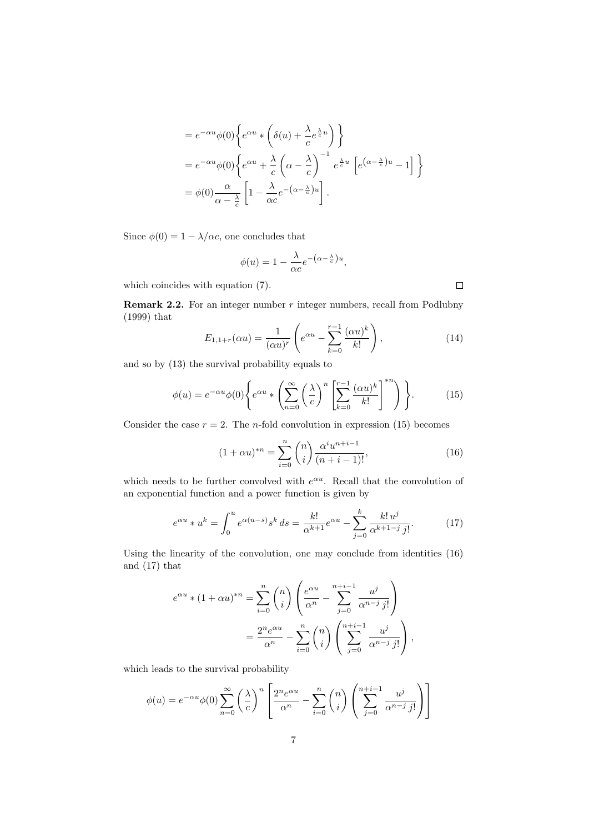$$
= e^{-\alpha u} \phi(0) \left\{ e^{\alpha u} * \left( \delta(u) + \frac{\lambda}{c} e^{\frac{\lambda}{c} u} \right) \right\}
$$
  

$$
= e^{-\alpha u} \phi(0) \left\{ e^{\alpha u} + \frac{\lambda}{c} \left( \alpha - \frac{\lambda}{c} \right)^{-1} e^{\frac{\lambda}{c} u} \left[ e^{(\alpha - \frac{\lambda}{c}) u} - 1 \right] \right\}
$$
  

$$
= \phi(0) \frac{\alpha}{\alpha - \frac{\lambda}{c}} \left[ 1 - \frac{\lambda}{\alpha c} e^{-(\alpha - \frac{\lambda}{c}) u} \right].
$$

Since  $\phi(0) = 1 - \lambda/\alpha c$ , one concludes that

$$
\phi(u) = 1 - \frac{\lambda}{\alpha c} e^{-(\alpha - \frac{\lambda}{c})u},
$$

which coincides with equation (7).

**Remark 2.2.** For an integer number  $r$  integer numbers, recall from Podlubny (1999) that

$$
E_{1,1+r}(\alpha u) = \frac{1}{(\alpha u)^r} \left( e^{\alpha u} - \sum_{k=0}^{r-1} \frac{(\alpha u)^k}{k!} \right),\tag{14}
$$

 $\Box$ 

and so by (13) the survival probability equals to

$$
\phi(u) = e^{-\alpha u} \phi(0) \left\{ e^{\alpha u} * \left( \sum_{n=0}^{\infty} \left( \frac{\lambda}{c} \right)^n \left[ \sum_{k=0}^{r-1} \frac{(\alpha u)^k}{k!} \right]^{*n} \right) \right\}.
$$
 (15)

Consider the case  $r = 2$ . The *n*-fold convolution in expression (15) becomes

$$
(1 + \alpha u)^{*n} = \sum_{i=0}^{n} {n \choose i} \frac{\alpha^{i} u^{n+i-1}}{(n+i-1)!},
$$
\n(16)

which needs to be further convolved with  $e^{\alpha u}$ . Recall that the convolution of an exponential function and a power function is given by

$$
e^{\alpha u} * u^k = \int_0^u e^{\alpha(u-s)} s^k ds = \frac{k!}{\alpha^{k+1}} e^{\alpha u} - \sum_{j=0}^k \frac{k! \, u^j}{\alpha^{k+1-j} \, j!}.
$$
 (17)

Using the linearity of the convolution, one may conclude from identities (16) and (17) that

$$
e^{\alpha u} * (1 + \alpha u)^{*n} = \sum_{i=0}^{n} {n \choose i} \left( \frac{e^{\alpha u}}{\alpha^n} - \sum_{j=0}^{n+i-1} \frac{u^j}{\alpha^{n-j} j!} \right)
$$

$$
= \frac{2^n e^{\alpha u}}{\alpha^n} - \sum_{i=0}^{n} {n \choose i} \left( \sum_{j=0}^{n+i-1} \frac{u^j}{\alpha^{n-j} j!} \right),
$$

which leads to the survival probability

$$
\phi(u) = e^{-\alpha u} \phi(0) \sum_{n=0}^{\infty} \left(\frac{\lambda}{c}\right)^n \left[\frac{2^n e^{\alpha u}}{\alpha^n} - \sum_{i=0}^n \binom{n}{i} \left(\sum_{j=0}^{n+i-1} \frac{u^j}{\alpha^{n-j} j!}\right)\right]
$$

7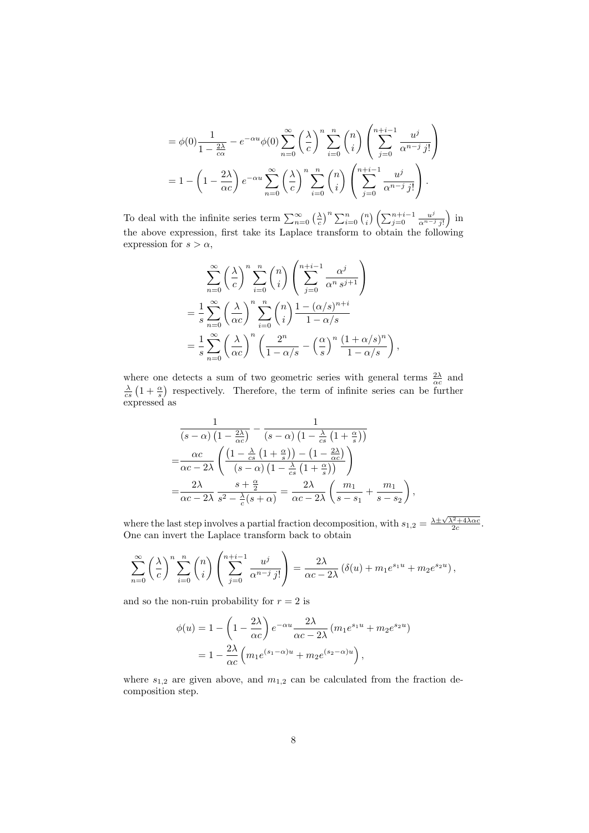$$
= \phi(0) \frac{1}{1 - \frac{2\lambda}{c\alpha}} - e^{-\alpha u} \phi(0) \sum_{n=0}^{\infty} \left(\frac{\lambda}{c}\right)^n \sum_{i=0}^n {n \choose i} \left(\sum_{j=0}^{n+i-1} \frac{u^j}{\alpha^{n-j} j!}\right)
$$

$$
= 1 - \left(1 - \frac{2\lambda}{\alpha c}\right) e^{-\alpha u} \sum_{n=0}^{\infty} \left(\frac{\lambda}{c}\right)^n \sum_{i=0}^n {n \choose i} \left(\sum_{j=0}^{n+i-1} \frac{u^j}{\alpha^{n-j} j!}\right).
$$

To deal with the infinite series term  $\sum_{n=0}^{\infty} \left(\frac{\lambda}{c}\right)^n \sum_{i=0}^n \binom{n}{i} \left(\sum_{j=0}^{n+i-1} \frac{u^j}{\alpha^{n-j}}\right)$  $\frac{u^j}{\alpha^{n-j}j!}$ ) in the above expression, first take its Laplace transform to obtain the following expression for  $s > \alpha$ ,

$$
\sum_{n=0}^{\infty} \left(\frac{\lambda}{c}\right)^n \sum_{i=0}^n {n \choose i} \left(\sum_{j=0}^{n+i-1} \frac{\alpha^j}{\alpha^n s^{j+1}}\right)
$$
  
=  $\frac{1}{s} \sum_{n=0}^{\infty} \left(\frac{\lambda}{\alpha c}\right)^n \sum_{i=0}^n {n \choose i} \frac{1 - (\alpha/s)^{n+i}}{1 - \alpha/s}$   
=  $\frac{1}{s} \sum_{n=0}^{\infty} \left(\frac{\lambda}{\alpha c}\right)^n \left(\frac{2^n}{1 - \alpha/s} - \left(\frac{\alpha}{s}\right)^n \frac{(1 + \alpha/s)^n}{1 - \alpha/s}\right)$ 

where one detects a sum of two geometric series with general terms  $\frac{2\lambda}{\alpha c}$  and  $\frac{\lambda}{cs}$  (1 +  $\frac{\alpha}{s}$ ) respectively. Therefore, the term of infinite series can be further expressed as

,

$$
\frac{1}{(s-\alpha)\left(1-\frac{2\lambda}{\alpha c}\right)} - \frac{1}{(s-\alpha)\left(1-\frac{\lambda}{cs}\left(1+\frac{\alpha}{s}\right)\right)}
$$
\n
$$
= \frac{\alpha c}{\alpha c - 2\lambda} \left(\frac{\left(1-\frac{\lambda}{cs}\left(1+\frac{\alpha}{s}\right)\right) - \left(1-\frac{2\lambda}{\alpha c}\right)}{(s-\alpha)\left(1-\frac{\lambda}{cs}\left(1+\frac{\alpha}{s}\right)\right)}\right)
$$
\n
$$
= \frac{2\lambda}{\alpha c - 2\lambda} \frac{s+\frac{\alpha}{2}}{s^2 - \frac{\lambda}{c}(s+\alpha)} = \frac{2\lambda}{\alpha c - 2\lambda} \left(\frac{m_1}{s-s_1} + \frac{m_1}{s-s_2}\right),
$$

where the last step involves a partial fraction decomposition, with  $s_{1,2} = \frac{\lambda \pm \sqrt{\lambda^2 + 4\lambda \alpha c}}{2c}$ . One can invert the Laplace transform back to obtain

$$
\sum_{n=0}^{\infty} \left(\frac{\lambda}{c}\right)^n \sum_{i=0}^n {n \choose i} \left(\sum_{j=0}^{n+i-1} \frac{u^j}{\alpha^{n-j} j!}\right) = \frac{2\lambda}{\alpha c - 2\lambda} \left(\delta(u) + m_1 e^{s_1 u} + m_2 e^{s_2 u}\right),
$$

and so the non-ruin probability for  $r = 2$  is

$$
\phi(u) = 1 - \left(1 - \frac{2\lambda}{\alpha c}\right) e^{-\alpha u} \frac{2\lambda}{\alpha c - 2\lambda} (m_1 e^{s_1 u} + m_2 e^{s_2 u})
$$

$$
= 1 - \frac{2\lambda}{\alpha c} \left(m_1 e^{(s_1 - \alpha)u} + m_2 e^{(s_2 - \alpha)u}\right),
$$

where  $s_{1,2}$  are given above, and  $m_{1,2}$  can be calculated from the fraction decomposition step.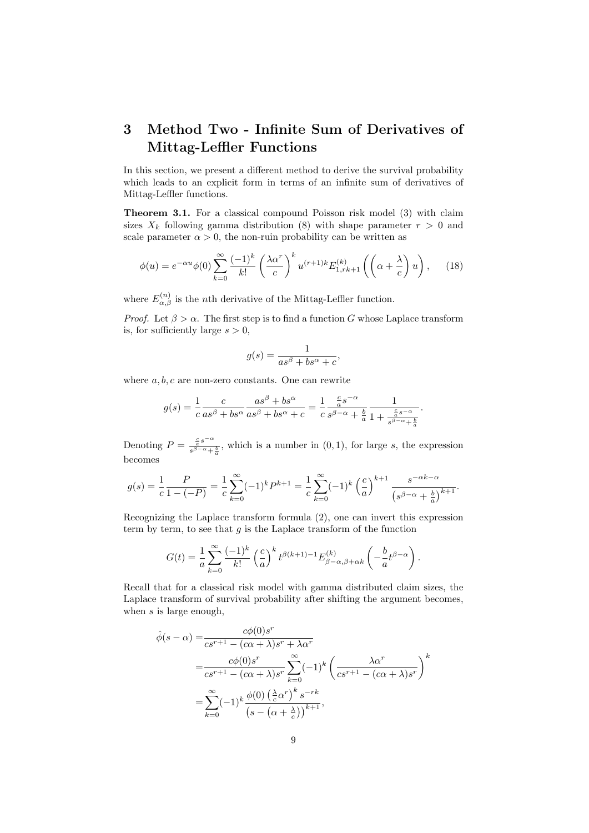# 3 Method Two - Infinite Sum of Derivatives of Mittag-Leffler Functions

In this section, we present a different method to derive the survival probability which leads to an explicit form in terms of an infinite sum of derivatives of Mittag-Leffler functions.

Theorem 3.1. For a classical compound Poisson risk model (3) with claim sizes  $X_k$  following gamma distribution (8) with shape parameter  $r > 0$  and scale parameter  $\alpha > 0$ , the non-ruin probability can be written as

$$
\phi(u) = e^{-\alpha u} \phi(0) \sum_{k=0}^{\infty} \frac{(-1)^k}{k!} \left(\frac{\lambda \alpha^r}{c}\right)^k u^{(r+1)k} E_{1,rk+1}^{(k)} \left(\left(\alpha + \frac{\lambda}{c}\right) u\right), \quad (18)
$$

where  $E_{\alpha,\beta}^{(n)}$  is the *n*th derivative of the Mittag-Leffler function.

*Proof.* Let  $\beta > \alpha$ . The first step is to find a function G whose Laplace transform is, for sufficiently large  $s > 0$ ,

$$
g(s) = \frac{1}{as^{\beta} + bs^{\alpha} + c},
$$

where  $a, b, c$  are non-zero constants. One can rewrite

$$
g(s)=\frac{1}{c}\frac{c}{as^{\beta}+bs^{\alpha}}\frac{as^{\beta}+bs^{\alpha}}{as^{\beta}+bs^{\alpha}+c}=\frac{1}{c}\frac{\frac{c}{a}s^{-\alpha}}{s^{\beta-\alpha}+\frac{b}{a}}\frac{1}{1+\frac{\frac{c}{a}s^{-\alpha}}{s^{\beta-\alpha}+\frac{b}{a}}}.
$$

Denoting  $P = \frac{\frac{c}{a}s^{-\alpha}}{s^{\beta-\alpha}}$  $\frac{\bar{a}^{s}}{s^{\beta-\alpha}+\frac{b}{a}}$ , which is a number in  $(0,1)$ , for large s, the expression becomes

$$
g(s) = \frac{1}{c} \frac{P}{1 - (-P)} = \frac{1}{c} \sum_{k=0}^{\infty} (-1)^k P^{k+1} = \frac{1}{c} \sum_{k=0}^{\infty} (-1)^k \left(\frac{c}{a}\right)^{k+1} \frac{s^{-\alpha k - \alpha}}{\left(s^{\beta - \alpha} + \frac{b}{a}\right)^{k+1}}.
$$

Recognizing the Laplace transform formula (2), one can invert this expression term by term, to see that  $g$  is the Laplace transform of the function

$$
G(t) = \frac{1}{a} \sum_{k=0}^{\infty} \frac{(-1)^k}{k!} \left(\frac{c}{a}\right)^k t^{\beta(k+1)-1} E_{\beta-\alpha,\beta+\alpha k}^{(k)} \left(-\frac{b}{a} t^{\beta-\alpha}\right).
$$

Recall that for a classical risk model with gamma distributed claim sizes, the Laplace transform of survival probability after shifting the argument becomes, when  $s$  is large enough,

$$
\hat{\phi}(s-\alpha) = \frac{c\phi(0)s^r}{cs^{r+1} - (c\alpha + \lambda)s^r + \lambda\alpha^r}
$$
  
\n
$$
= \frac{c\phi(0)s^r}{cs^{r+1} - (c\alpha + \lambda)s^r} \sum_{k=0}^{\infty} (-1)^k \left(\frac{\lambda\alpha^r}{cs^{r+1} - (c\alpha + \lambda)s^r}\right)^k
$$
  
\n
$$
= \sum_{k=0}^{\infty} (-1)^k \frac{\phi(0) \left(\frac{\lambda}{c}\alpha^r\right)^k s^{-rk}}{\left(s - \left(\alpha + \frac{\lambda}{c}\right)\right)^{k+1}},
$$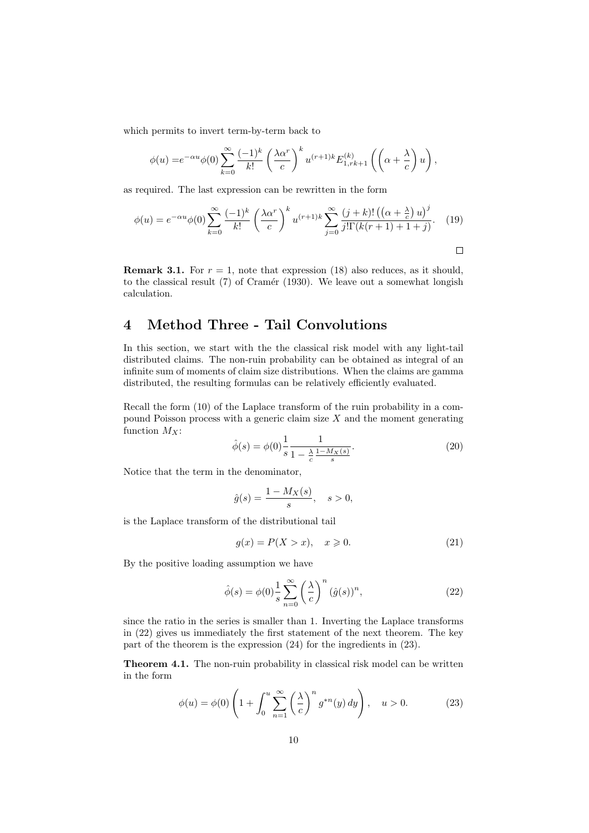which permits to invert term-by-term back to

$$
\phi(u) = e^{-\alpha u} \phi(0) \sum_{k=0}^{\infty} \frac{(-1)^k}{k!} \left(\frac{\lambda \alpha^r}{c}\right)^k u^{(r+1)k} E_{1,rk+1}^{(k)} \left(\left(\alpha + \frac{\lambda}{c}\right) u\right),
$$

as required. The last expression can be rewritten in the form

$$
\phi(u) = e^{-\alpha u} \phi(0) \sum_{k=0}^{\infty} \frac{(-1)^k}{k!} \left(\frac{\lambda \alpha^r}{c}\right)^k u^{(r+1)k} \sum_{j=0}^{\infty} \frac{(j+k)! \left((\alpha + \frac{\lambda}{c}) u\right)^j}{j! \Gamma(k(r+1) + 1 + j)}.
$$
 (19)

**Remark 3.1.** For  $r = 1$ , note that expression (18) also reduces, as it should, to the classical result  $(7)$  of Cramér (1930). We leave out a somewhat longish calculation.

### 4 Method Three - Tail Convolutions

In this section, we start with the the classical risk model with any light-tail distributed claims. The non-ruin probability can be obtained as integral of an infinite sum of moments of claim size distributions. When the claims are gamma distributed, the resulting formulas can be relatively efficiently evaluated.

Recall the form (10) of the Laplace transform of the ruin probability in a compound Poisson process with a generic claim size  $X$  and the moment generating function  $M_X$ :

$$
\hat{\phi}(s) = \phi(0)\frac{1}{s} \frac{1}{1 - \frac{\lambda}{c} \frac{1 - M_X(s)}{s}}.\tag{20}
$$

Notice that the term in the denominator,

$$
\hat{g}(s) = \frac{1 - M_X(s)}{s}, \quad s > 0,
$$

is the Laplace transform of the distributional tail

$$
g(x) = P(X > x), \quad x \geqslant 0. \tag{21}
$$

By the positive loading assumption we have

$$
\hat{\phi}(s) = \phi(0) \frac{1}{s} \sum_{n=0}^{\infty} \left(\frac{\lambda}{c}\right)^n (\hat{g}(s))^n,
$$
\n(22)

since the ratio in the series is smaller than 1. Inverting the Laplace transforms in (22) gives us immediately the first statement of the next theorem. The key part of the theorem is the expression (24) for the ingredients in (23).

Theorem 4.1. The non-ruin probability in classical risk model can be written in the form

$$
\phi(u) = \phi(0) \left( 1 + \int_0^u \sum_{n=1}^\infty \left( \frac{\lambda}{c} \right)^n g^{*n}(y) dy \right), \quad u > 0. \tag{23}
$$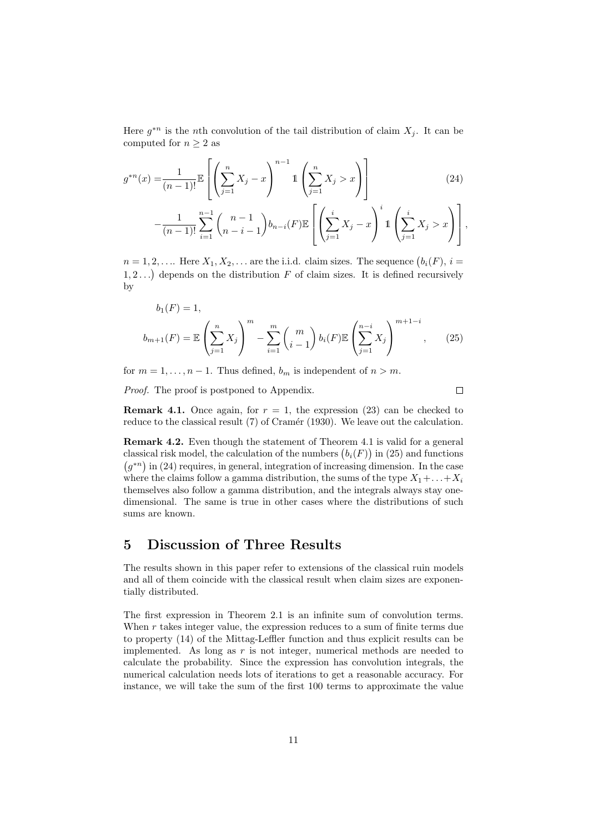Here  $g^{*n}$  is the *n*th convolution of the tail distribution of claim  $X_j$ . It can be computed for  $n \geq 2$  as

$$
g^{*n}(x) = \frac{1}{(n-1)!} \mathbb{E}\left[\left(\sum_{j=1}^{n} X_j - x\right)^{n-1} \mathbb{1}\left(\sum_{j=1}^{n} X_j > x\right)\right] \tag{24}
$$

$$
-\frac{1}{(n-1)!} \sum_{i=1}^{n-1} {n-1 \choose n-i-1} b_{n-i}(F) \mathbb{E}\left[ \left( \sum_{j=1}^i X_j - x \right)^i \mathbb{1} \left( \sum_{j=1}^i X_j > x \right) \right],
$$

 $n = 1, 2, \ldots$  Here  $X_1, X_2, \ldots$  are the i.i.d. claim sizes. The sequence  $(b_i(F), i =$  $1, 2...$ ) depends on the distribution F of claim sizes. It is defined recursively by

$$
b_1(F) = 1,
$$
  
\n
$$
b_{m+1}(F) = \mathbb{E}\left(\sum_{j=1}^n X_j\right)^m - \sum_{i=1}^m {m \choose i-1} b_i(F) \mathbb{E}\left(\sum_{j=1}^{n-i} X_j\right)^{m+1-i},
$$
\n(25)

for  $m = 1, \ldots, n - 1$ . Thus defined,  $b_m$  is independent of  $n > m$ .

Proof. The proof is postponed to Appendix.

 $\Box$ 

**Remark 4.1.** Once again, for  $r = 1$ , the expression (23) can be checked to reduce to the classical result  $(7)$  of Cramér  $(1930)$ . We leave out the calculation.

Remark 4.2. Even though the statement of Theorem 4.1 is valid for a general classical risk model, the calculation of the numbers  $(b_i(F))$  in (25) and functions  $(g^{*n})$  in (24) requires, in general, integration of increasing dimension. In the case where the claims follow a gamma distribution, the sums of the type  $X_1 + \ldots + X_i$ themselves also follow a gamma distribution, and the integrals always stay onedimensional. The same is true in other cases where the distributions of such sums are known.

#### 5 Discussion of Three Results

The results shown in this paper refer to extensions of the classical ruin models and all of them coincide with the classical result when claim sizes are exponentially distributed.

The first expression in Theorem 2.1 is an infinite sum of convolution terms. When  $r$  takes integer value, the expression reduces to a sum of finite terms due to property (14) of the Mittag-Leffler function and thus explicit results can be implemented. As long as  $r$  is not integer, numerical methods are needed to calculate the probability. Since the expression has convolution integrals, the numerical calculation needs lots of iterations to get a reasonable accuracy. For instance, we will take the sum of the first 100 terms to approximate the value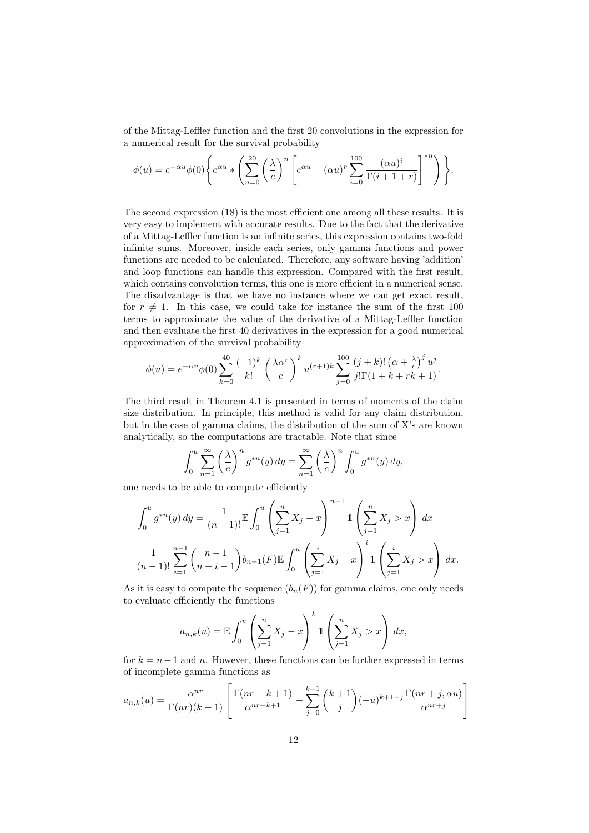of the Mittag-Leffler function and the first 20 convolutions in the expression for a numerical result for the survival probability

$$
\phi(u) = e^{-\alpha u} \phi(0) \left\{ e^{\alpha u} * \left( \sum_{n=0}^{20} \left( \frac{\lambda}{c} \right)^n \left[ e^{\alpha u} - (\alpha u)^r \sum_{i=0}^{100} \frac{(\alpha u)^i}{\Gamma(i+1+r)} \right]^{*n} \right) \right\}.
$$

The second expression (18) is the most efficient one among all these results. It is very easy to implement with accurate results. Due to the fact that the derivative of a Mittag-Leffler function is an infinite series, this expression contains two-fold infinite sums. Moreover, inside each series, only gamma functions and power functions are needed to be calculated. Therefore, any software having 'addition' and loop functions can handle this expression. Compared with the first result, which contains convolution terms, this one is more efficient in a numerical sense. The disadvantage is that we have no instance where we can get exact result, for  $r \neq 1$ . In this case, we could take for instance the sum of the first 100 terms to approximate the value of the derivative of a Mittag-Leffler function and then evaluate the first 40 derivatives in the expression for a good numerical approximation of the survival probability

$$
\phi(u) = e^{-\alpha u} \phi(0) \sum_{k=0}^{40} \frac{(-1)^k}{k!} \left(\frac{\lambda \alpha^r}{c}\right)^k u^{(r+1)k} \sum_{j=0}^{100} \frac{(j+k)! \left(\alpha + \frac{\lambda}{c}\right)^j u^j}{j! \Gamma(1+k+rk+1)}.
$$

The third result in Theorem 4.1 is presented in terms of moments of the claim size distribution. In principle, this method is valid for any claim distribution, but in the case of gamma claims, the distribution of the sum of X's are known analytically, so the computations are tractable. Note that since

$$
\int_0^u \sum_{n=1}^\infty \left(\frac{\lambda}{c}\right)^n g^{*n}(y) \, dy = \sum_{n=1}^\infty \left(\frac{\lambda}{c}\right)^n \int_0^u g^{*n}(y) \, dy,
$$

one needs to be able to compute efficiently

$$
\int_0^u g^{*n}(y) dy = \frac{1}{(n-1)!} \mathbb{E} \int_0^u \left( \sum_{j=1}^n X_j - x \right)^{n-1} \mathbb{1} \left( \sum_{j=1}^n X_j > x \right) dx
$$
\n
$$
-\frac{1}{(n-1)!} \sum_{i=1}^{n-1} \binom{n-1}{n-i-1} b_{n-1}(F) \mathbb{E} \int_0^u \left( \sum_{j=1}^i X_j - x \right)^i \mathbb{1} \left( \sum_{j=1}^i X_j > x \right) dx.
$$

As it is easy to compute the sequence  $(b_n(F))$  for gamma claims, one only needs to evaluate efficiently the functions

$$
a_{n,k}(u) = \mathbb{E} \int_0^u \left( \sum_{j=1}^n X_j - x \right)^k \mathbb{1} \left( \sum_{j=1}^n X_j > x \right) dx,
$$

for  $k = n-1$  and n. However, these functions can be further expressed in terms of incomplete gamma functions as

$$
a_{n,k}(u) = \frac{\alpha^{nr}}{\Gamma(nr)(k+1)} \left[ \frac{\Gamma(nr+k+1)}{\alpha^{nr+k+1}} - \sum_{j=0}^{k+1} {k+1 \choose j} (-u)^{k+1-j} \frac{\Gamma(nr+j, \alpha u)}{\alpha^{nr+j}} \right]
$$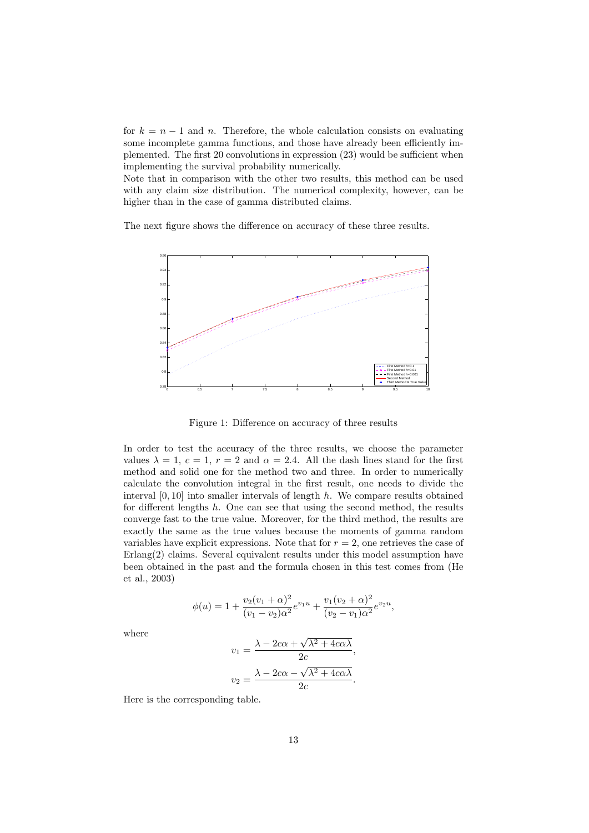for  $k = n - 1$  and n. Therefore, the whole calculation consists on evaluating some incomplete gamma functions, and those have already been efficiently implemented. The first 20 convolutions in expression (23) would be sufficient when implementing the survival probability numerically.

Note that in comparison with the other two results, this method can be used with any claim size distribution. The numerical complexity, however, can be higher than in the case of gamma distributed claims.

The next figure shows the difference on accuracy of these three results.



Figure 1: Difference on accuracy of three results

In order to test the accuracy of the three results, we choose the parameter values  $\lambda = 1, c = 1, r = 2$  and  $\alpha = 2.4$ . All the dash lines stand for the first method and solid one for the method two and three. In order to numerically calculate the convolution integral in the first result, one needs to divide the interval  $[0, 10]$  into smaller intervals of length h. We compare results obtained for different lengths  $h$ . One can see that using the second method, the results converge fast to the true value. Moreover, for the third method, the results are exactly the same as the true values because the moments of gamma random variables have explicit expressions. Note that for  $r = 2$ , one retrieves the case of  $E$ rlang $(2)$  claims. Several equivalent results under this model assumption have been obtained in the past and the formula chosen in this test comes from (He et al., 2003)

$$
\phi(u) = 1 + \frac{v_2(v_1 + \alpha)^2}{(v_1 - v_2)\alpha^2}e^{v_1u} + \frac{v_1(v_2 + \alpha)^2}{(v_2 - v_1)\alpha^2}e^{v_2u},
$$

where

$$
v_1 = \frac{\lambda - 2c\alpha + \sqrt{\lambda^2 + 4c\alpha\lambda}}{2c},
$$

$$
v_2 = \frac{\lambda - 2c\alpha - \sqrt{\lambda^2 + 4c\alpha\lambda}}{2c}.
$$

Here is the corresponding table.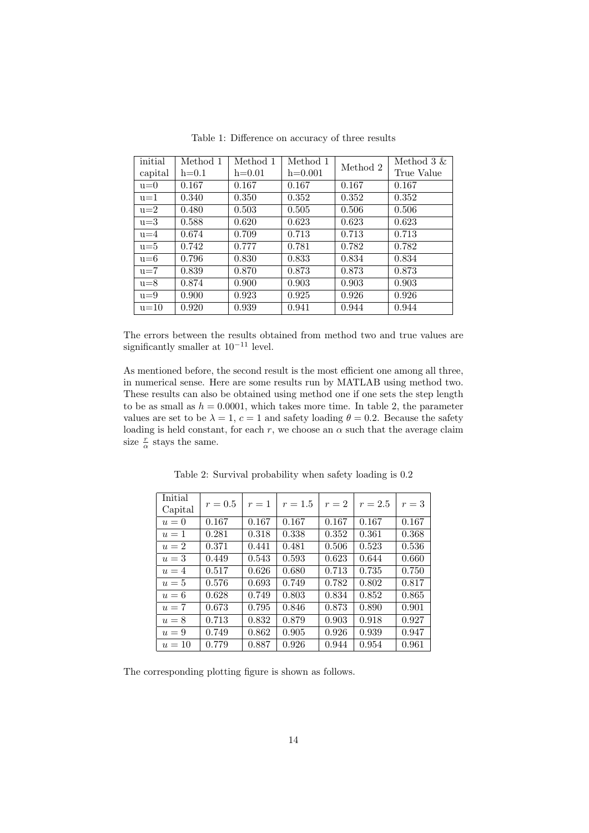| initial | Method 1 | Method 1 | Method 1  | Method 2 | Method $3 \&$ |
|---------|----------|----------|-----------|----------|---------------|
| capital | $h=0.1$  | $h=0.01$ | $h=0.001$ |          | True Value    |
| $u=0$   | 0.167    | 0.167    | 0.167     | 0.167    | 0.167         |
| $u=1$   | 0.340    | 0.350    | 0.352     | 0.352    | 0.352         |
| $u=2$   | 0.480    | 0.503    | 0.505     | 0.506    | 0.506         |
| $u = 3$ | 0.588    | 0.620    | 0.623     | 0.623    | 0.623         |
| $u=4$   | 0.674    | 0.709    | 0.713     | 0.713    | 0.713         |
| $u = 5$ | 0.742    | 0.777    | 0.781     | 0.782    | 0.782         |
| $u = 6$ | 0.796    | 0.830    | 0.833     | 0.834    | 0.834         |
| $u = 7$ | 0.839    | 0.870    | 0.873     | 0.873    | 0.873         |
| $u=8$   | 0.874    | 0.900    | 0.903     | 0.903    | 0.903         |
| $u=9$   | 0.900    | 0.923    | 0.925     | 0.926    | 0.926         |
| $u=10$  | 0.920    | 0.939    | 0.941     | 0.944    | 0.944         |

Table 1: Difference on accuracy of three results

The errors between the results obtained from method two and true values are significantly smaller at  $10^{-11}$  level.

As mentioned before, the second result is the most efficient one among all three, in numerical sense. Here are some results run by MATLAB using method two. These results can also be obtained using method one if one sets the step length to be as small as  $h = 0.0001$ , which takes more time. In table 2, the parameter values are set to be  $\lambda = 1$ ,  $c = 1$  and safety loading  $\theta = 0.2$ . Because the safety loading is held constant, for each r, we choose an  $\alpha$  such that the average claim size  $\frac{r}{\alpha}$  stays the same.

| Initial | $r=0.5$ | $r=1$ | $r = 1.5$ | $r=2$ | $r=2.5$ | $r=3$ |
|---------|---------|-------|-----------|-------|---------|-------|
| Capital |         |       |           |       |         |       |
| $u=0$   | 0.167   | 0.167 | 0.167     | 0.167 | 0.167   | 0.167 |
| $u=1$   | 0.281   | 0.318 | 0.338     | 0.352 | 0.361   | 0.368 |
| $u=2$   | 0.371   | 0.441 | 0.481     | 0.506 | 0.523   | 0.536 |
| $u=3$   | 0.449   | 0.543 | 0.593     | 0.623 | 0.644   | 0.660 |
| $u=4$   | 0.517   | 0.626 | 0.680     | 0.713 | 0.735   | 0.750 |
| $u=5$   | 0.576   | 0.693 | 0.749     | 0.782 | 0.802   | 0.817 |
| $u=6$   | 0.628   | 0.749 | 0.803     | 0.834 | 0.852   | 0.865 |
| $u=7$   | 0.673   | 0.795 | 0.846     | 0.873 | 0.890   | 0.901 |
| $u=8$   | 0.713   | 0.832 | 0.879     | 0.903 | 0.918   | 0.927 |
| $u = 9$ | 0.749   | 0.862 | 0.905     | 0.926 | 0.939   | 0.947 |
| $u=10$  | 0.779   | 0.887 | 0.926     | 0.944 | 0.954   | 0.961 |

Table 2: Survival probability when safety loading is 0.2

The corresponding plotting figure is shown as follows.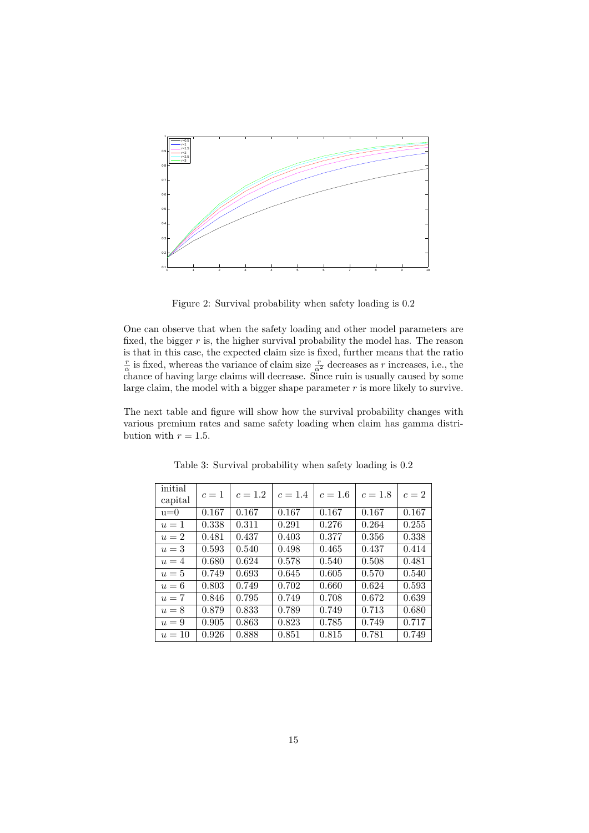

Figure 2: Survival probability when safety loading is 0.2

One can observe that when the safety loading and other model parameters are fixed, the bigger  $r$  is, the higher survival probability the model has. The reason is that in this case, the expected claim size is fixed, further means that the ratio  $\frac{r}{\alpha}$  is fixed, whereas the variance of claim size  $\frac{r}{\alpha^2}$  decreases as r increases, i.e., the chance of having large claims will decrease. Since ruin is usually caused by some large claim, the model with a bigger shape parameter  $r$  is more likely to survive.

The next table and figure will show how the survival probability changes with various premium rates and same safety loading when claim has gamma distribution with  $r = 1.5$ .

| initial<br>capital | $c=1$ | $c = 1.2$ | $c = 1.4$ | $c = 1.6$ | $c = 1.8$ | $c=2$ |
|--------------------|-------|-----------|-----------|-----------|-----------|-------|
| $u=0$              | 0.167 | 0.167     | 0.167     | 0.167     | 0.167     | 0.167 |
| $u=1$              | 0.338 | 0.311     | 0.291     | 0.276     | 0.264     | 0.255 |
| $u=2$              | 0.481 | 0.437     | 0.403     | 0.377     | 0.356     | 0.338 |
| $u=3$              | 0.593 | 0.540     | 0.498     | 0.465     | 0.437     | 0.414 |
| $u=4$              | 0.680 | 0.624     | 0.578     | 0.540     | 0.508     | 0.481 |
| $u=5$              | 0.749 | 0.693     | 0.645     | 0.605     | 0.570     | 0.540 |
| $u=6$              | 0.803 | 0.749     | 0.702     | 0.660     | 0.624     | 0.593 |
| $u=7$              | 0.846 | 0.795     | 0.749     | 0.708     | 0.672     | 0.639 |
| $u=8$              | 0.879 | 0.833     | 0.789     | 0.749     | 0.713     | 0.680 |
| $u=9$              | 0.905 | 0.863     | 0.823     | 0.785     | 0.749     | 0.717 |
| $u=10$             | 0.926 | 0.888     | 0.851     | 0.815     | 0.781     | 0.749 |

Table 3: Survival probability when safety loading is 0.2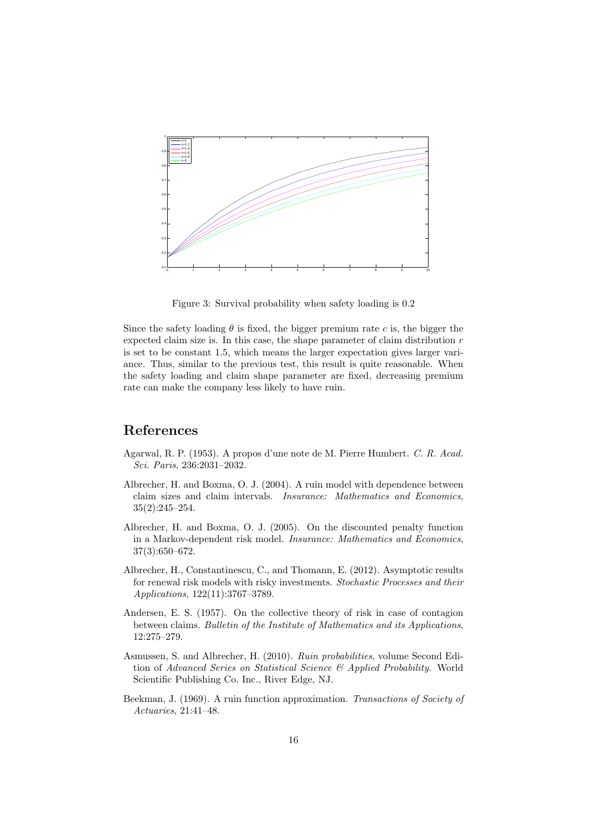

Figure 3: Survival probability when safety loading is 0.2

Since the safety loading  $\theta$  is fixed, the bigger premium rate c is, the bigger the expected claim size is. In this case, the shape parameter of claim distribution  $r$ is set to be constant 1.5, which means the larger expectation gives larger variance. Thus, similar to the previous test, this result is quite reasonable. When the safety loading and claim shape parameter are fixed, decreasing premium rate can make the company less likely to have ruin.

#### References

- Agarwal, R. P. (1953). A propos d'une note de M. Pierre Humbert. C. R. Acad. Sci. Paris, 236:2031–2032.
- Albrecher, H. and Boxma, O. J. (2004). A ruin model with dependence between claim sizes and claim intervals. Insurance: Mathematics and Economics, 35(2):245–254.
- Albrecher, H. and Boxma, O. J. (2005). On the discounted penalty function in a Markov-dependent risk model. Insurance: Mathematics and Economics, 37(3):650–672.
- Albrecher, H., Constantinescu, C., and Thomann, E. (2012). Asymptotic results for renewal risk models with risky investments. Stochastic Processes and their Applications, 122(11):3767–3789.
- Andersen, E. S. (1957). On the collective theory of risk in case of contagion between claims. Bulletin of the Institute of Mathematics and its Applications, 12:275–279.
- Asmussen, S. and Albrecher, H. (2010). Ruin probabilities, volume Second Edition of Advanced Series on Statistical Science & Applied Probability. World Scientific Publishing Co. Inc., River Edge, NJ.
- Beekman, J. (1969). A ruin function approximation. Transactions of Society of Actuaries, 21:41–48.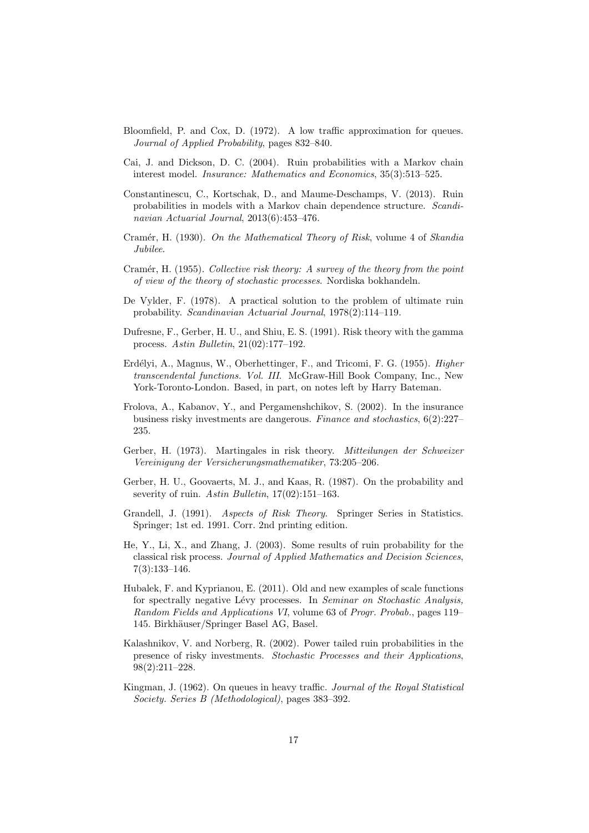- Bloomfield, P. and Cox, D. (1972). A low traffic approximation for queues. Journal of Applied Probability, pages 832–840.
- Cai, J. and Dickson, D. C. (2004). Ruin probabilities with a Markov chain interest model. Insurance: Mathematics and Economics, 35(3):513–525.
- Constantinescu, C., Kortschak, D., and Maume-Deschamps, V. (2013). Ruin probabilities in models with a Markov chain dependence structure. Scandinavian Actuarial Journal, 2013(6):453–476.
- Cramér, H. (1930). On the Mathematical Theory of Risk, volume 4 of Skandia Jubilee.
- Cramér, H. (1955). Collective risk theory: A survey of the theory from the point of view of the theory of stochastic processes. Nordiska bokhandeln.
- De Vylder, F. (1978). A practical solution to the problem of ultimate ruin probability. Scandinavian Actuarial Journal, 1978(2):114–119.
- Dufresne, F., Gerber, H. U., and Shiu, E. S. (1991). Risk theory with the gamma process. Astin Bulletin, 21(02):177–192.
- Erdélyi, A., Magnus, W., Oberhettinger, F., and Tricomi, F. G. (1955). *Higher* transcendental functions. Vol. III. McGraw-Hill Book Company, Inc., New York-Toronto-London. Based, in part, on notes left by Harry Bateman.
- Frolova, A., Kabanov, Y., and Pergamenshchikov, S. (2002). In the insurance business risky investments are dangerous. Finance and stochastics, 6(2):227– 235.
- Gerber, H. (1973). Martingales in risk theory. Mitteilungen der Schweizer Vereinigung der Versicherungsmathematiker, 73:205–206.
- Gerber, H. U., Goovaerts, M. J., and Kaas, R. (1987). On the probability and severity of ruin. Astin Bulletin,  $17(02):151-163$ .
- Grandell, J. (1991). Aspects of Risk Theory. Springer Series in Statistics. Springer; 1st ed. 1991. Corr. 2nd printing edition.
- He, Y., Li, X., and Zhang, J. (2003). Some results of ruin probability for the classical risk process. Journal of Applied Mathematics and Decision Sciences, 7(3):133–146.
- Hubalek, F. and Kyprianou, E. (2011). Old and new examples of scale functions for spectrally negative Lévy processes. In Seminar on Stochastic Analysis, Random Fields and Applications VI, volume 63 of Progr. Probab., pages 119– 145. Birkhäuser/Springer Basel AG, Basel.
- Kalashnikov, V. and Norberg, R. (2002). Power tailed ruin probabilities in the presence of risky investments. Stochastic Processes and their Applications, 98(2):211–228.
- Kingman, J. (1962). On queues in heavy traffic. Journal of the Royal Statistical Society. Series B (Methodological), pages 383–392.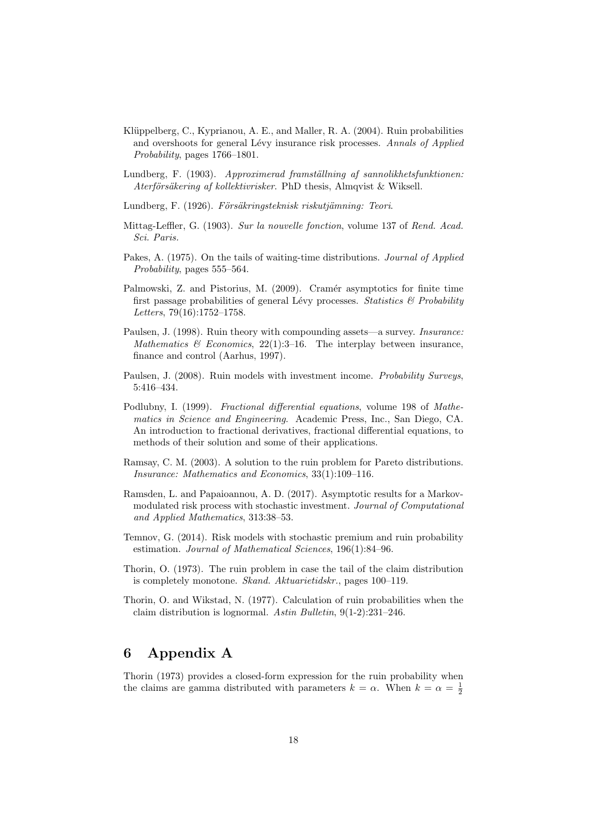- Klüppelberg, C., Kyprianou, A. E., and Maller, R. A. (2004). Ruin probabilities and overshoots for general Lévy insurance risk processes. Annals of Applied Probability, pages 1766–1801.
- Lundberg, F. (1903). Approximerad framställning af sannolikhetsfunktionen: Aterförsäkering af kollektivrisker. PhD thesis, Almqvist & Wiksell.
- Lundberg, F. (1926). Försäkringsteknisk riskutjämning: Teori.
- Mittag-Leffler, G. (1903). Sur la nouvelle fonction, volume 137 of Rend. Acad. Sci. Paris.
- Pakes, A. (1975). On the tails of waiting-time distributions. Journal of Applied Probability, pages 555–564.
- Palmowski, Z. and Pistorius, M. (2009). Cramér asymptotics for finite time first passage probabilities of general Lévy processes. Statistics  $\mathcal B$  Probability Letters, 79(16):1752–1758.
- Paulsen, J. (1998). Ruin theory with compounding assets—a survey. Insurance: Mathematics  $\mathcal B$  Economics, 22(1):3–16. The interplay between insurance, finance and control (Aarhus, 1997).
- Paulsen, J. (2008). Ruin models with investment income. Probability Surveys, 5:416–434.
- Podlubny, I. (1999). Fractional differential equations, volume 198 of Mathematics in Science and Engineering. Academic Press, Inc., San Diego, CA. An introduction to fractional derivatives, fractional differential equations, to methods of their solution and some of their applications.
- Ramsay, C. M. (2003). A solution to the ruin problem for Pareto distributions. Insurance: Mathematics and Economics, 33(1):109–116.
- Ramsden, L. and Papaioannou, A. D. (2017). Asymptotic results for a Markovmodulated risk process with stochastic investment. Journal of Computational and Applied Mathematics, 313:38–53.
- Temnov, G. (2014). Risk models with stochastic premium and ruin probability estimation. Journal of Mathematical Sciences, 196(1):84–96.
- Thorin, O. (1973). The ruin problem in case the tail of the claim distribution is completely monotone. Skand. Aktuarietidskr., pages 100–119.
- Thorin, O. and Wikstad, N. (1977). Calculation of ruin probabilities when the claim distribution is lognormal. Astin Bulletin, 9(1-2):231–246.

#### 6 Appendix A

Thorin (1973) provides a closed-form expression for the ruin probability when the claims are gamma distributed with parameters  $k = \alpha$ . When  $k = \alpha = \frac{1}{2}$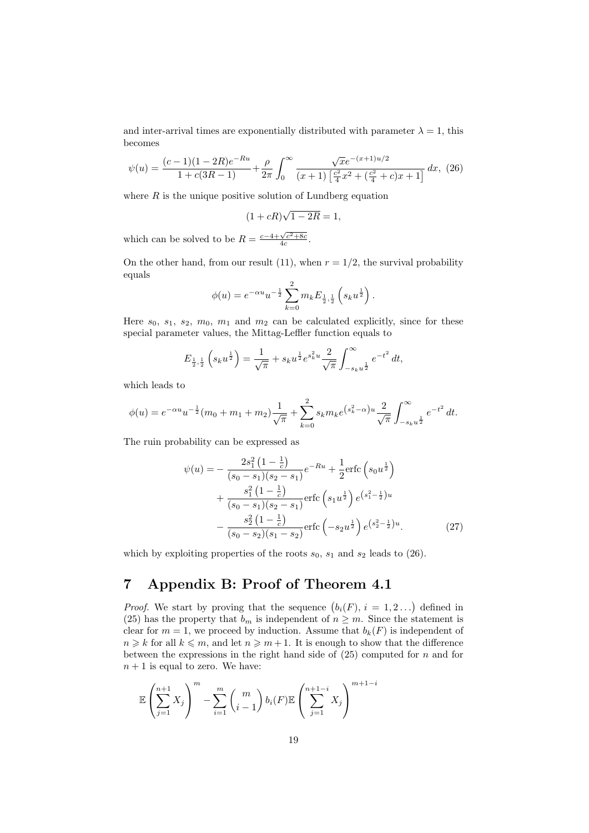and inter-arrival times are exponentially distributed with parameter  $\lambda = 1$ , this becomes

$$
\psi(u) = \frac{(c-1)(1-2R)e^{-Ru}}{1+c(3R-1)} + \frac{\rho}{2\pi} \int_0^\infty \frac{\sqrt{x}e^{-(x+1)u/2}}{(x+1)\left[\frac{c^2}{4}x^2 + \left(\frac{c^2}{4} + c\right)x + 1\right]} dx, (26)
$$

where  $R$  is the unique positive solution of Lundberg equation

$$
(1 + cR)\sqrt{1 - 2R} = 1,
$$

which can be solved to be  $R = \frac{c-4+\sqrt{c^2+8c}}{4c}$ .

On the other hand, from our result (11), when  $r = 1/2$ , the survival probability equals

$$
\phi(u) = e^{-\alpha u} u^{-\frac{1}{2}} \sum_{k=0}^{2} m_k E_{\frac{1}{2},\frac{1}{2}} \left( s_k u^{\frac{1}{2}} \right).
$$

Here  $s_0$ ,  $s_1$ ,  $s_2$ ,  $m_0$ ,  $m_1$  and  $m_2$  can be calculated explicitly, since for these special parameter values, the Mittag-Leffler function equals to

$$
E_{\frac{1}{2},\frac{1}{2}}\left(s_k u^{\frac{1}{2}}\right) = \frac{1}{\sqrt{\pi}} + s_k u^{\frac{1}{2}} e^{s_k^2 u} \frac{2}{\sqrt{\pi}} \int_{-s_k u^{\frac{1}{2}}}^{\infty} e^{-t^2} dt,
$$

which leads to

$$
\phi(u) = e^{-\alpha u} u^{-\frac{1}{2}} (m_0 + m_1 + m_2) \frac{1}{\sqrt{\pi}} + \sum_{k=0}^{2} s_k m_k e^{(s_k^2 - \alpha)u} \frac{2}{\sqrt{\pi}} \int_{-s_k u^{\frac{1}{2}}}^{\infty} e^{-t^2} dt.
$$

The ruin probability can be expressed as

$$
\psi(u) = -\frac{2s_1^2 (1 - \frac{1}{c})}{(s_0 - s_1)(s_2 - s_1)} e^{-Ru} + \frac{1}{2} \text{erfc}\left(s_0 u^{\frac{1}{2}}\right) \n+ \frac{s_1^2 (1 - \frac{1}{c})}{(s_0 - s_1)(s_2 - s_1)} \text{erfc}\left(s_1 u^{\frac{1}{2}}\right) e^{(s_1^2 - \frac{1}{2})u} \n- \frac{s_2^2 (1 - \frac{1}{c})}{(s_0 - s_2)(s_1 - s_2)} \text{erfc}\left(-s_2 u^{\frac{1}{2}}\right) e^{(s_2^2 - \frac{1}{2})u}.
$$
\n(27)

which by exploiting properties of the roots  $s_0$ ,  $s_1$  and  $s_2$  leads to (26).

## 7 Appendix B: Proof of Theorem 4.1

*Proof.* We start by proving that the sequence  $(b_i(F), i = 1, 2...)$  defined in (25) has the property that  $b_m$  is independent of  $n \geq m$ . Since the statement is clear for  $m = 1$ , we proceed by induction. Assume that  $b_k(F)$  is independent of  $n \geq k$  for all  $k \leq m$ , and let  $n \geq m+1$ . It is enough to show that the difference between the expressions in the right hand side of  $(25)$  computed for n and for  $n + 1$  is equal to zero. We have:

$$
\mathbb{E}\left(\sum_{j=1}^{n+1}X_j\right)^m - \sum_{i=1}^m {m \choose i-1} b_i(F)\mathbb{E}\left(\sum_{j=1}^{n+1-i}X_j\right)^{m+1-i}
$$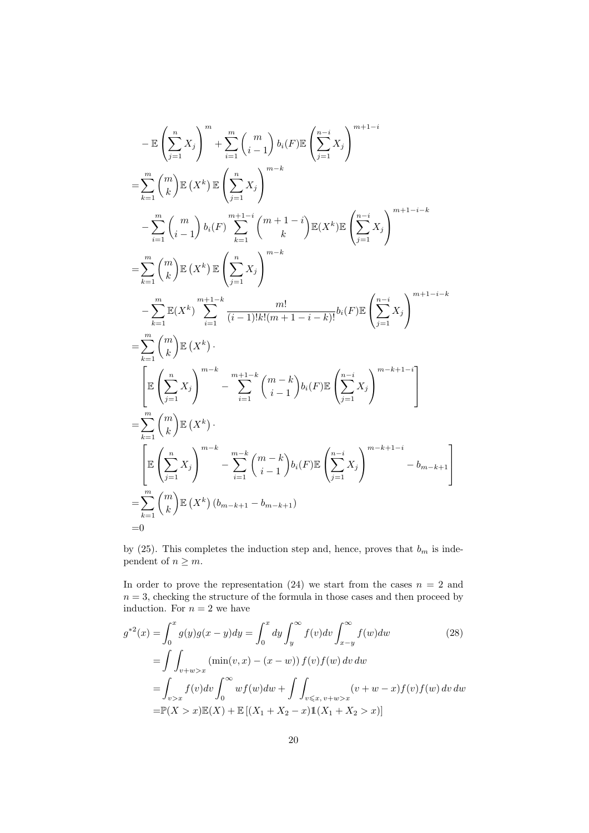$$
-\mathbb{E}\left(\sum_{j=1}^{n} X_{j}\right)^{m} + \sum_{i=1}^{m} {m \choose i-1} b_{i}(F) \mathbb{E}\left(\sum_{j=1}^{n-i} X_{j}\right)^{m+1-i}
$$
\n
$$
=\sum_{k=1}^{m} {m \choose k} \mathbb{E}(X^{k}) \mathbb{E}\left(\sum_{j=1}^{n} X_{j}\right)^{m-k}
$$
\n
$$
-\sum_{i=1}^{m} {m \choose i-1} b_{i}(F) \sum_{k=1}^{m+1-i} {m+1-i \choose k} \mathbb{E}(X^{k}) \mathbb{E}\left(\sum_{j=1}^{n-i} X_{j}\right)^{m+1-i-k}
$$
\n
$$
=\sum_{k=1}^{m} {m \choose k} \mathbb{E}(X^{k}) \mathbb{E}\left(\sum_{j=1}^{n} X_{j}\right)^{m-k}
$$
\n
$$
-\sum_{k=1}^{m} \mathbb{E}(X^{k}) \sum_{i=1}^{m+1-i} \frac{m!}{(i-1)!k!(m+1-i-k)!} b_{i}(F) \mathbb{E}\left(\sum_{j=1}^{n-i} X_{j}\right)^{m+1-i-k}
$$
\n
$$
=\sum_{k=1}^{m} {m \choose k} \mathbb{E}(X^{k})
$$
\n
$$
\mathbb{E}\left(\sum_{j=1}^{n} X_{j}\right)^{m-k} - \sum_{i=1}^{m+1-k} {m-k \choose i-1} b_{i}(F) \mathbb{E}\left(\sum_{j=1}^{n-i} X_{j}\right)^{m-k+1-i}
$$
\n
$$
=\sum_{k=1}^{m} {m \choose k} \mathbb{E}(X^{k})
$$
\n
$$
=\sum_{k=1}^{m} {m \choose k} \mathbb{E}(X^{k})
$$
\n
$$
=\sum_{k=1}^{m} {m \choose k} \mathbb{E}(X^{k}) (b_{m-k+1}-b_{m-k+1})
$$
\n=0

by (25). This completes the induction step and, hence, proves that  $b_m$  is independent of  $n \geq m$ .

In order to prove the representation (24) we start from the cases  $n = 2$  and  $n=3,$  checking the structure of the formula in those cases and then proceed by induction. For  $n = 2$  we have

$$
g^{*2}(x) = \int_0^x g(y)g(x - y)dy = \int_0^x dy \int_y^\infty f(v)dv \int_{x-y}^\infty f(w)dw
$$
(28)  
= 
$$
\int \int_{v+w>x} (\min(v, x) - (x - w)) f(v) f(w) dv dw
$$
  
= 
$$
\int_{v>x} f(v)dv \int_0^\infty wf(w)dw + \int \int_{v \le x, v+w>x} (v+w-x) f(v) f(w) dv dw
$$
  
= 
$$
\mathbb{P}(X > x) \mathbb{E}(X) + \mathbb{E}[(X_1 + X_2 - x) \mathbb{1}(X_1 + X_2 > x)]
$$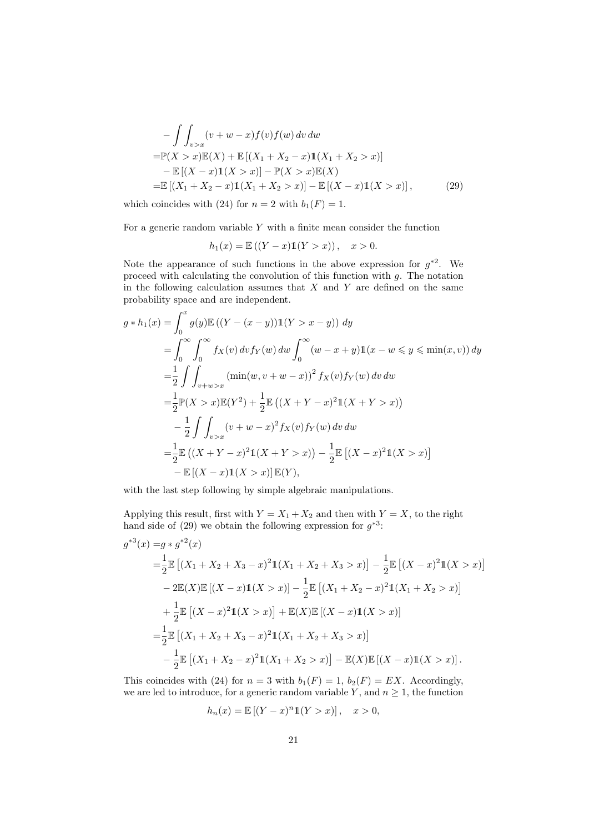$$
- \int\int_{v>x} (v+w-x)f(v)f(w) dv dw
$$
  
=  $\mathbb{P}(X > x)\mathbb{E}(X) + \mathbb{E}[(X_1 + X_2 - x)\mathbb{1}(X_1 + X_2 > x)]$   
 $- \mathbb{E}[(X-x)\mathbb{1}(X > x)] - \mathbb{P}(X > x)\mathbb{E}(X)$   
=  $\mathbb{E}[(X_1 + X_2 - x)\mathbb{1}(X_1 + X_2 > x)] - \mathbb{E}[(X-x)\mathbb{1}(X > x)],$  (29)

which coincides with (24) for  $n = 2$  with  $b_1(F) = 1$ .

For a generic random variable  $Y$  with a finite mean consider the function

$$
h_1(x) = \mathbb{E} ((Y - x) \mathbb{1} (Y > x)), \quad x > 0.
$$

Note the appearance of such functions in the above expression for  $g^{\ast 2}$ . We proceed with calculating the convolution of this function with g. The notation in the following calculation assumes that  $X$  and  $Y$  are defined on the same probability space and are independent.

$$
g * h_1(x) = \int_0^x g(y) \mathbb{E} ((Y - (x - y)) \mathbb{1}(Y > x - y)) dy
$$
  
\n
$$
= \int_0^\infty \int_0^\infty f_X(v) dv f_Y(w) dw \int_0^\infty (w - x + y) \mathbb{1}(x - w \leq y \leq \min(x, v)) dy
$$
  
\n
$$
= \frac{1}{2} \int \int_{v + w > x} (\min(w, v + w - x))^2 f_X(v) f_Y(w) dv dw
$$
  
\n
$$
= \frac{1}{2} \mathbb{P}(X > x) \mathbb{E}(Y^2) + \frac{1}{2} \mathbb{E} ((X + Y - x)^2 \mathbb{1}(X + Y > x))
$$
  
\n
$$
- \frac{1}{2} \int \int_{v > x} (v + w - x)^2 f_X(v) f_Y(w) dv dw
$$
  
\n
$$
= \frac{1}{2} \mathbb{E} ((X + Y - x)^2 \mathbb{1}(X + Y > x)) - \frac{1}{2} \mathbb{E} [(X - x)^2 \mathbb{1}(X > x)]
$$
  
\n
$$
- \mathbb{E} [(X - x) \mathbb{1}(X > x)] \mathbb{E}(Y),
$$

with the last step following by simple algebraic manipulations.

Applying this result, first with  $Y = X_1 + X_2$  and then with  $Y = X$ , to the right hand side of  $(29)$  we obtain the following expression for  $g^{*3}$ :

$$
g^{*3}(x) = g * g^{*2}(x)
$$
  
\n
$$
= \frac{1}{2} \mathbb{E} \left[ (X_1 + X_2 + X_3 - x)^2 \mathbb{1}(X_1 + X_2 + X_3 > x) \right] - \frac{1}{2} \mathbb{E} \left[ (X - x)^2 \mathbb{1}(X > x) \right]
$$
  
\n
$$
- 2 \mathbb{E}(X) \mathbb{E} \left[ (X - x) \mathbb{1}(X > x) \right] - \frac{1}{2} \mathbb{E} \left[ (X_1 + X_2 - x)^2 \mathbb{1}(X_1 + X_2 > x) \right]
$$
  
\n
$$
+ \frac{1}{2} \mathbb{E} \left[ (X - x)^2 \mathbb{1}(X > x) \right] + \mathbb{E}(X) \mathbb{E} \left[ (X - x) \mathbb{1}(X > x) \right]
$$
  
\n
$$
= \frac{1}{2} \mathbb{E} \left[ (X_1 + X_2 + X_3 - x)^2 \mathbb{1}(X_1 + X_2 + X_3 > x) \right]
$$
  
\n
$$
- \frac{1}{2} \mathbb{E} \left[ (X_1 + X_2 - x)^2 \mathbb{1}(X_1 + X_2 > x) \right] - \mathbb{E}(X) \mathbb{E} \left[ (X - x) \mathbb{1}(X > x) \right].
$$

This coincides with (24) for  $n = 3$  with  $b_1(F) = 1$ ,  $b_2(F) = EX$ . Accordingly, we are led to introduce, for a generic random variable Y, and  $n \geq 1$ , the function

$$
h_n(x) = \mathbb{E}[(Y - x)^n \mathbb{1}(Y > x)], \quad x > 0,
$$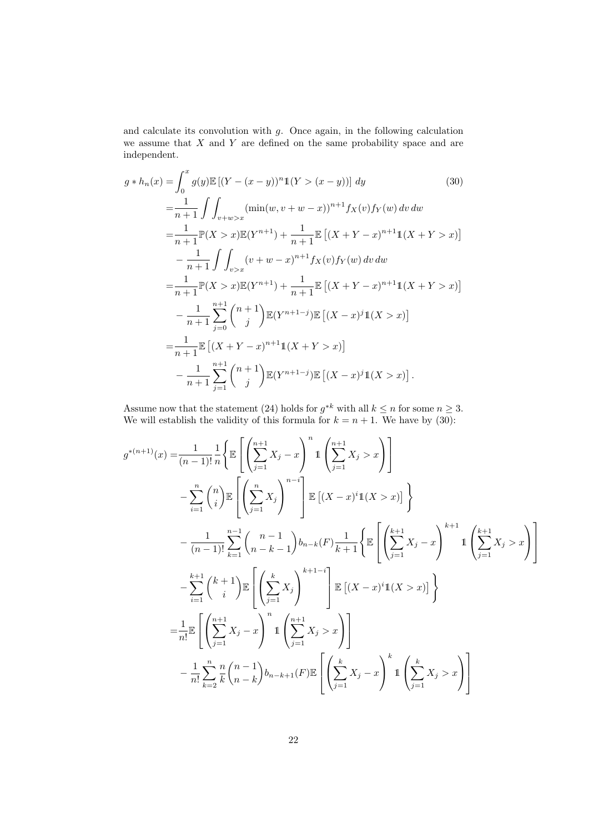and calculate its convolution with  $g$ . Once again, in the following calculation we assume that  $X$  and  $Y$  are defined on the same probability space and are independent.

$$
g * h_n(x) = \int_0^x g(y) \mathbb{E} \left[ (Y - (x - y))^n \mathbb{1}(Y > (x - y)) \right] dy \qquad (30)
$$
  
\n
$$
= \frac{1}{n+1} \int \int_{v+w>x} (\min(w, v+w-x))^{n+1} f_X(v) f_Y(w) dv dw
$$
  
\n
$$
= \frac{1}{n+1} \mathbb{P}(X > x) \mathbb{E}(Y^{n+1}) + \frac{1}{n+1} \mathbb{E} \left[ (X + Y - x)^{n+1} \mathbb{1}(X + Y > x) \right]
$$
  
\n
$$
- \frac{1}{n+1} \int \int_{v>x} (v+w-x)^{n+1} f_X(v) f_Y(w) dv dw
$$
  
\n
$$
= \frac{1}{n+1} \mathbb{P}(X > x) \mathbb{E}(Y^{n+1}) + \frac{1}{n+1} \mathbb{E} \left[ (X + Y - x)^{n+1} \mathbb{1}(X + Y > x) \right]
$$
  
\n
$$
- \frac{1}{n+1} \sum_{j=0}^{n+1} {n+1 \choose j} \mathbb{E}(Y^{n+1-j}) \mathbb{E} \left[ (X - x)^j \mathbb{1}(X > x) \right]
$$
  
\n
$$
= \frac{1}{n+1} \mathbb{E} \left[ (X + Y - x)^{n+1} \mathbb{1}(X + Y > x) \right]
$$
  
\n
$$
- \frac{1}{n+1} \sum_{j=1}^{n+1} {n+1 \choose j} \mathbb{E}(Y^{n+1-j}) \mathbb{E} \left[ (X - x)^j \mathbb{1}(X > x) \right].
$$

Assume now that the statement (24) holds for  $g^{*k}$  with all  $k \leq n$  for some  $n \geq 3$ . We will establish the validity of this formula for  $k = n + 1$ . We have by (30):

$$
g^{*(n+1)}(x) = \frac{1}{(n-1)!} \frac{1}{n} \left\{ \mathbb{E} \left[ \left( \sum_{j=1}^{n+1} X_j - x \right)^n \mathbb{1} \left( \sum_{j=1}^{n+1} X_j > x \right) \right] - \sum_{i=1}^n {n \choose i} \mathbb{E} \left[ \left( \sum_{j=1}^n X_j \right)^{n-i} \right] \mathbb{E} \left[ (X-x)^i \mathbb{1} (X > x) \right] \right\}
$$
\n
$$
- \frac{1}{(n-1)!} \sum_{k=1}^{n-1} {n-1 \choose n-k-1} b_{n-k}(F) \frac{1}{k+1} \left\{ \mathbb{E} \left[ \left( \sum_{j=1}^{k+1} X_j - x \right)^{k+1} \mathbb{1} \left( \sum_{j=1}^{k+1} X_j > x \right) \right] - \sum_{i=1}^{k+1} {k+1 \choose i} \mathbb{E} \left[ \left( \sum_{j=1}^{k} X_j \right)^{k+1-i} \right] \mathbb{E} \left[ (X-x)^i \mathbb{1} (X > x) \right] \right\}
$$
\n
$$
= \frac{1}{n!} \mathbb{E} \left[ \left( \sum_{j=1}^{n+1} X_j - x \right)^n \mathbb{1} \left( \sum_{j=1}^{n+1} X_j > x \right) \right]
$$
\n
$$
- \frac{1}{n!} \sum_{k=2}^n \frac{n}{k} {n-1 \choose n-k} b_{n-k+1}(F) \mathbb{E} \left[ \left( \sum_{j=1}^k X_j - x \right)^k \mathbb{1} \left( \sum_{j=1}^k X_j > x \right) \right]
$$